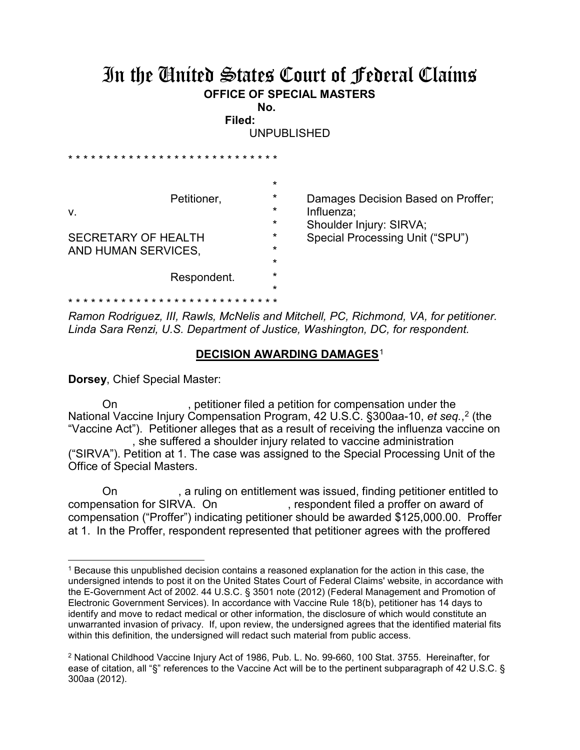## In the United States Court of Federal Claims **OFFICE OF SPECIAL MASTERS**

**No. Filed:** 

UNPUBLISHED

|                                                                  |                               | $\star$ |                                    |
|------------------------------------------------------------------|-------------------------------|---------|------------------------------------|
| Petitioner,<br>V.                                                |                               | $\star$ | Damages Decision Based on Proffer; |
|                                                                  |                               | $\star$ | Influenza;                         |
|                                                                  |                               | *       | Shoulder Injury: SIRVA;            |
| <b>SECRETARY OF HEALTH</b><br>AND HUMAN SERVICES,<br>Respondent. |                               | $\star$ | Special Processing Unit ("SPU")    |
|                                                                  |                               | *       |                                    |
|                                                                  |                               | *       |                                    |
|                                                                  |                               | $\star$ |                                    |
|                                                                  |                               | $\star$ |                                    |
|                                                                  | * * * * * * * * * * * * * * * |         |                                    |

*Ramon Rodriguez, III, Rawls, McNelis and Mitchell, PC, Richmond, VA, for petitioner. Linda Sara Renzi, U.S. Department of Justice, Washington, DC, for respondent.*

## **DECISION AWARDING DAMAGES**<sup>1</sup>

**Dorsey**, Chief Special Master:

 $\overline{a}$ 

On , petitioner filed a petition for compensation under the National Vaccine Injury Compensation Program, 42 U.S.C. §300aa-10, *et seq.*, <sup>2</sup> (the "Vaccine Act"). Petitioner alleges that as a result of receiving the influenza vaccine on , she suffered a shoulder injury related to vaccine administration

("SIRVA"). Petition at 1. The case was assigned to the Special Processing Unit of the Office of Special Masters.

On , a ruling on entitlement was issued, finding petitioner entitled to<br>compensation for SIRVA. On , respondent filed a proffer on award of , respondent filed a proffer on award of compensation ("Proffer") indicating petitioner should be awarded \$125,000.00. Proffer at 1. In the Proffer, respondent represented that petitioner agrees with the proffered

<sup>1</sup> Because this unpublished decision contains a reasoned explanation for the action in this case, the undersigned intends to post it on the United States Court of Federal Claims' website, in accordance with the E-Government Act of 2002. 44 U.S.C. § 3501 note (2012) (Federal Management and Promotion of Electronic Government Services). In accordance with Vaccine Rule 18(b), petitioner has 14 days to identify and move to redact medical or other information, the disclosure of which would constitute an unwarranted invasion of privacy. If, upon review, the undersigned agrees that the identified material fits within this definition, the undersigned will redact such material from public access.

<sup>2</sup> National Childhood Vaccine Injury Act of 1986, Pub. L. No. 99-660, 100 Stat. 3755. Hereinafter, for ease of citation, all "§" references to the Vaccine Act will be to the pertinent subparagraph of 42 U.S.C. § 300aa (2012).